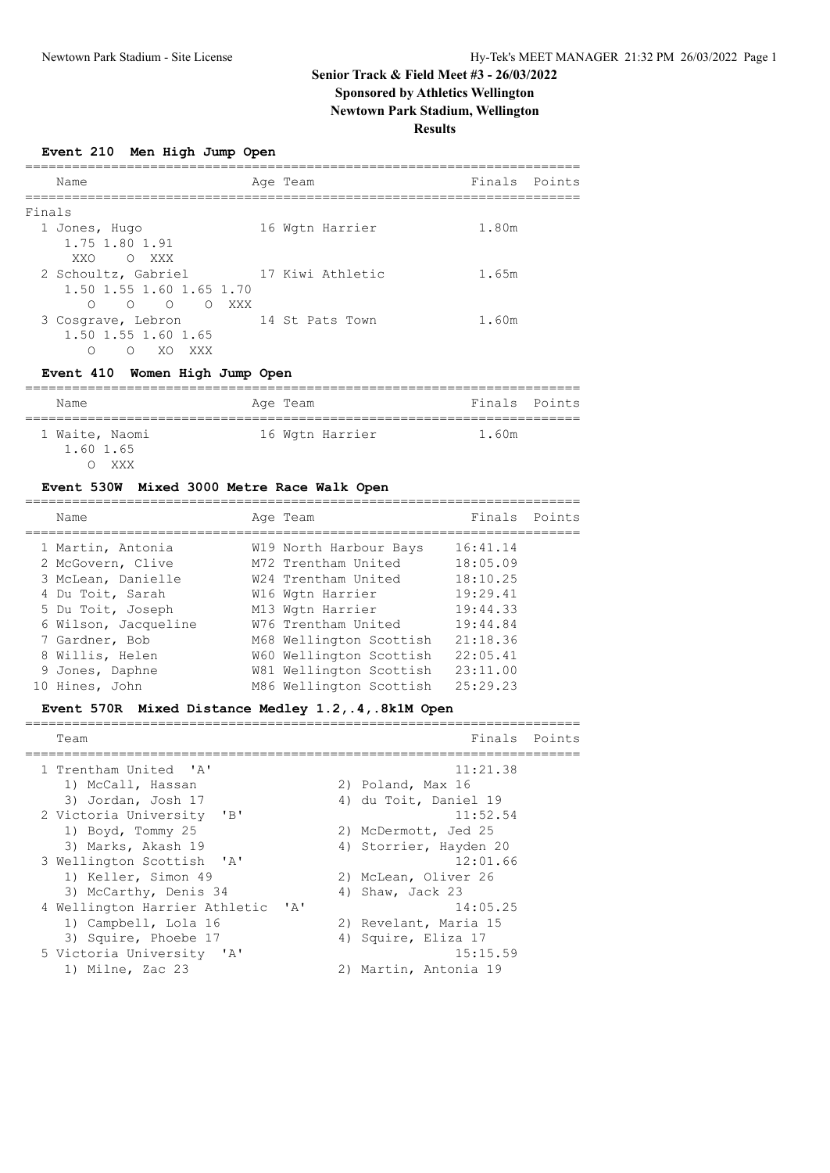# **Senior Track & Field Meet #3 - 26/03/2022 Sponsored by Athletics Wellington**

**Newtown Park Stadium, Wellington**

**Results**

**Event 210 Men High Jump Open**

|        | Name                                           | Age Team         | Finals Points |  |
|--------|------------------------------------------------|------------------|---------------|--|
| Finals |                                                |                  |               |  |
|        | 1 Jones, Hugo                                  | 16 Wgtn Harrier  | 1.80m         |  |
|        | 1.75 1.80 1.91                                 |                  |               |  |
|        | XXO OXXX                                       |                  |               |  |
|        | 2 Schoultz, Gabriel                            | 17 Kiwi Athletic | 1.65m         |  |
|        | 1.50 1.55 1.60 1.65 1.70                       |                  |               |  |
|        | $\circ$ $\circ$<br>$\cap$<br>XXX<br>$\bigcirc$ |                  |               |  |
|        | 3 Cosgrave, Lebron                             | 14 St Pats Town  | 1.60m         |  |
|        | 1.50 1.55 1.60 1.65                            |                  |               |  |
|        | XXX<br>∩<br>XO.<br>∩                           |                  |               |  |

## **Event 410 Women High Jump Open**

| Name                               | Age Team        | Finals Points |
|------------------------------------|-----------------|---------------|
| 1 Waite, Naomi<br>1.60 1.65<br>XXX | 16 Wgtn Harrier | 1.60m         |

### **Event 530W Mixed 3000 Metre Race Walk Open**

| Name                 | Age Team                | Finals Points |  |
|----------------------|-------------------------|---------------|--|
| 1 Martin, Antonia    | W19 North Harbour Bays  | 16:41.14      |  |
| 2 McGovern, Clive    | M72 Trentham United     | 18:05.09      |  |
| 3 McLean, Danielle   | W24 Trentham United     | 18:10.25      |  |
| 4 Du Toit, Sarah     | W16 Wgtn Harrier        | 19:29.41      |  |
| 5 Du Toit, Joseph    | M13 Wgtn Harrier        | 19:44.33      |  |
| 6 Wilson, Jacqueline | W76 Trentham United     | 19:44.84      |  |
| 7 Gardner, Bob       | M68 Wellington Scottish | 21:18.36      |  |
| 8 Willis, Helen      | W60 Wellington Scottish | 22:05.41      |  |
| 9 Jones, Daphne      | W81 Wellington Scottish | 23:11.00      |  |
| 10 Hines, John       | M86 Wellington Scottish | 25:29.23      |  |

## **Event 570R Mixed Distance Medley 1.2,.4,.8k1M Open**

| Team                                          | Finals                 | Points |
|-----------------------------------------------|------------------------|--------|
| 1 Trentham United 'A'                         | 11:21.38               |        |
| 1) McCall, Hassan                             | 2) Poland, Max 16      |        |
| 3) Jordan, Josh 17                            | 4) du Toit, Daniel 19  |        |
| 2 Victoria University 'B'                     | 11:52.54               |        |
| 1) Boyd, Tommy 25                             | 2) McDermott, Jed 25   |        |
| 3) Marks, Akash 19                            | 4) Storrier, Hayden 20 |        |
| 3 Wellington Scottish 'A'                     | 12:01.66               |        |
| 1) Keller, Simon 49                           | 2) McLean, Oliver 26   |        |
| 3) McCarthy, Denis 34                         | 4) Shaw, Jack 23       |        |
| 4 Wellington Harrier Athletic<br>$\mathsf{A}$ | 14:05.25               |        |
| 1) Campbell, Lola 16                          | 2) Revelant, Maria 15  |        |
| 3) Squire, Phoebe 17                          | 4) Squire, Eliza 17    |        |
| 5 Victoria University 'A'                     | 15:15.59               |        |
| 1) Milne, Zac 23                              | 2) Martin, Antonia 19  |        |
|                                               |                        |        |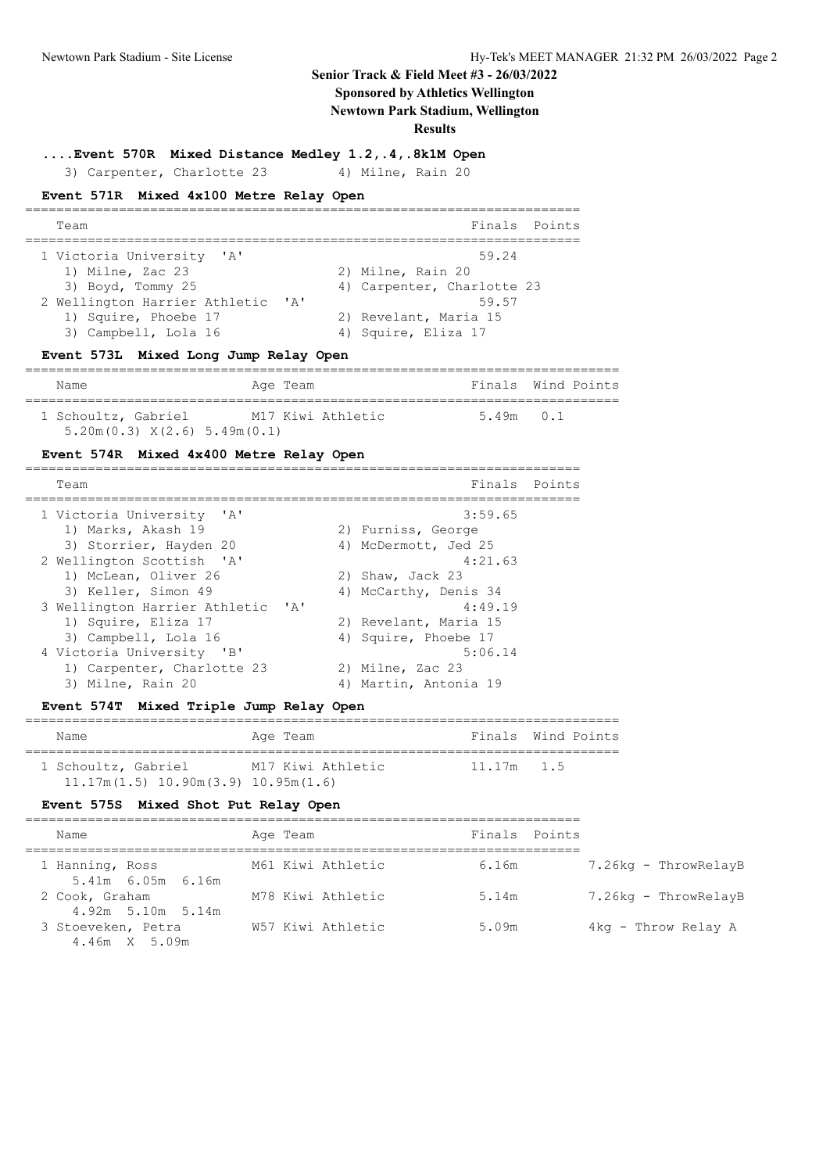## **Senior Track & Field Meet #3 - 26/03/2022**

**Sponsored by Athletics Wellington**

**Newtown Park Stadium, Wellington**

=======================================================================

**Results**

**....Event 570R Mixed Distance Medley 1.2,.4,.8k1M Open**

3) Carpenter, Charlotte 23 4) Milne, Rain 20

#### **Event 571R Mixed 4x100 Metre Relay Open**

| Team                                                                                                                                                                                                      | Finals Points |
|-----------------------------------------------------------------------------------------------------------------------------------------------------------------------------------------------------------|---------------|
|                                                                                                                                                                                                           |               |
| 1 Victoria University<br>59.24<br>$\mathsf{A}$<br>1) Milne, Zac 23<br>2) Milne, Rain 20                                                                                                                   |               |
| 3) Boyd, Tommy 25<br>4) Carpenter, Charlotte 23<br>2 Wellington Harrier Athletic<br>59.57<br>$\mathsf{A}$<br>1) Squire, Phoebe 17<br>2) Revelant, Maria 15<br>3) Campbell, Lola 16<br>4) Squire, Eliza 17 |               |

### **Event 573L Mixed Long Jump Relay Open**

============================================================================ Name Age Team Finals Wind Points ============================================================================ 1 Schoultz, Gabriel M17 Kiwi Athletic 5.49m 0.1 5.20m(0.3) X(2.6) 5.49m(0.1)

### **Event 574R Mixed 4x400 Metre Relay Open**

| Team                                                            |    | Finals Points         |  |
|-----------------------------------------------------------------|----|-----------------------|--|
| 1 Victoria University 'A'                                       |    | 3:59.65               |  |
| 1) Marks, Akash 19                                              |    | 2) Furniss, George    |  |
| 3) Storrier, Hayden 20                                          |    | 4) McDermott, Jed 25  |  |
| 2 Wellington Scottish 'A'                                       |    | 4:21.63               |  |
| 1) McLean, Oliver 26                                            |    | 2) Shaw, Jack 23      |  |
| 3) Keller, Simon 49                                             |    | 4) McCarthy, Denis 34 |  |
| 3 Wellington Harrier Athletic<br>$\mathsf{I} \wedge \mathsf{I}$ |    | 4:49.19               |  |
| 1) Squire, Eliza 17                                             |    | 2) Revelant, Maria 15 |  |
| 3) Campbell, Lola 16                                            |    | 4) Squire, Phoebe 17  |  |
| 4 Victoria University 'B'                                       |    | 5:06.14               |  |
| 1) Carpenter, Charlotte 23                                      |    | 2) Milne, Zac 23      |  |
| 3) Milne, Rain 20                                               | 4) | Martin, Antonia 19    |  |
|                                                                 |    |                       |  |

#### **Event 574T Mixed Triple Jump Relay Open**

| Name                                      | Age Team          |              | Finals Wind Points |  |  |  |  |
|-------------------------------------------|-------------------|--------------|--------------------|--|--|--|--|
|                                           |                   |              |                    |  |  |  |  |
| 1 Schoultz, Gabriel                       | M17 Kiwi Athletic | $11.17m$ 1.5 |                    |  |  |  |  |
| $11.17m(1.5)$ $10.90m(3.9)$ $10.95m(1.6)$ |                   |              |                    |  |  |  |  |

### **Event 575S Mixed Shot Put Relay Open**

| Name                                  | Age Team          | Finals Points |                      |
|---------------------------------------|-------------------|---------------|----------------------|
| 1 Hanning, Ross<br>5.41m 6.05m 6.16m  | M61 Kiwi Athletic | 6.16m         | 7.26kg - ThrowRelayB |
| 2 Cook, Graham<br>$4.92m$ 5.10m 5.14m | M78 Kiwi Athletic | 5.14m         | 7.26kg - ThrowRelayB |
| 3 Stoeveken, Petra<br>4.46m X 5.09m   | W57 Kiwi Athletic | 5.09m         | 4kg - Throw Relay A  |